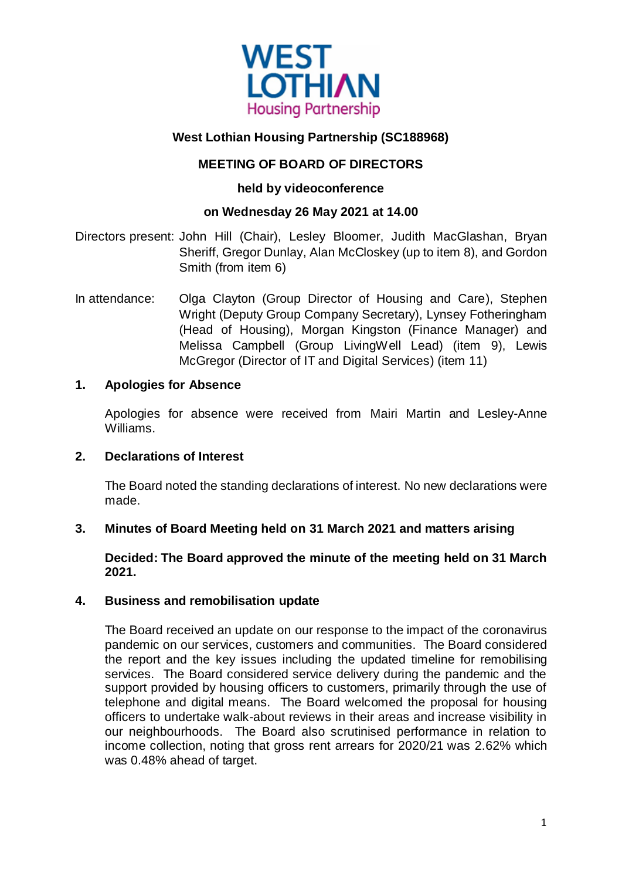

# **West Lothian Housing Partnership (SC188968)**

# **MEETING OF BOARD OF DIRECTORS**

### **held by videoconference**

### **on Wednesday 26 May 2021 at 14.00**

Directors present: John Hill (Chair), Lesley Bloomer, Judith MacGlashan, Bryan Sheriff, Gregor Dunlay, Alan McCloskey (up to item 8), and Gordon Smith (from item 6)

In attendance: Olga Clayton (Group Director of Housing and Care), Stephen Wright (Deputy Group Company Secretary), Lynsey Fotheringham (Head of Housing), Morgan Kingston (Finance Manager) and Melissa Campbell (Group LivingWell Lead) (item 9), Lewis McGregor (Director of IT and Digital Services) (item 11)

#### **1. Apologies for Absence**

Apologies for absence were received from Mairi Martin and Lesley-Anne Williams.

#### **2. Declarations of Interest**

The Board noted the standing declarations of interest. No new declarations were made.

#### **3. Minutes of Board Meeting held on 31 March 2021 and matters arising**

**Decided: The Board approved the minute of the meeting held on 31 March 2021.**

#### **4. Business and remobilisation update**

The Board received an update on our response to the impact of the coronavirus pandemic on our services, customers and communities. The Board considered the report and the key issues including the updated timeline for remobilising services. The Board considered service delivery during the pandemic and the support provided by housing officers to customers, primarily through the use of telephone and digital means. The Board welcomed the proposal for housing officers to undertake walk-about reviews in their areas and increase visibility in our neighbourhoods. The Board also scrutinised performance in relation to income collection, noting that gross rent arrears for 2020/21 was 2.62% which was 0.48% ahead of target.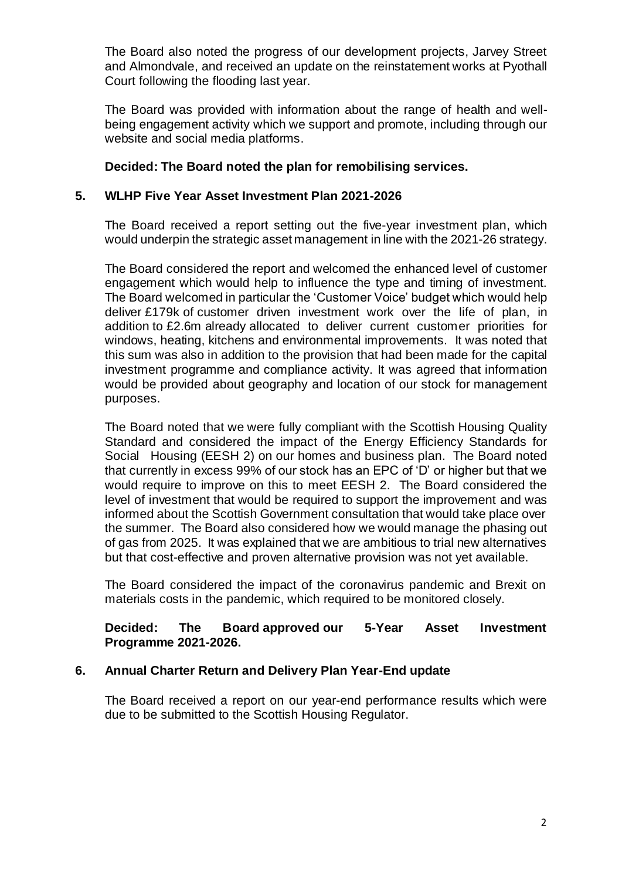The Board also noted the progress of our development projects, Jarvey Street and Almondvale, and received an update on the reinstatement works at Pyothall Court following the flooding last year.

The Board was provided with information about the range of health and wellbeing engagement activity which we support and promote, including through our website and social media platforms.

## **Decided: The Board noted the plan for remobilising services.**

### **5. WLHP Five Year Asset Investment Plan 2021-2026**

The Board received a report setting out the five-year investment plan, which would underpin the strategic asset management in line with the 2021-26 strategy.

The Board considered the report and welcomed the enhanced level of customer engagement which would help to influence the type and timing of investment. The Board welcomed in particular the 'Customer Voice' budget which would help deliver £179k of customer driven investment work over the life of plan, in addition to £2.6m already allocated to deliver current customer priorities for windows, heating, kitchens and environmental improvements. It was noted that this sum was also in addition to the provision that had been made for the capital investment programme and compliance activity. It was agreed that information would be provided about geography and location of our stock for management purposes.

The Board noted that we were fully compliant with the Scottish Housing Quality Standard and considered the impact of the Energy Efficiency Standards for Social Housing (EESH 2) on our homes and business plan. The Board noted that currently in excess 99% of our stock has an EPC of 'D' or higher but that we would require to improve on this to meet EESH 2. The Board considered the level of investment that would be required to support the improvement and was informed about the Scottish Government consultation that would take place over the summer. The Board also considered how we would manage the phasing out of gas from 2025. It was explained that we are ambitious to trial new alternatives but that cost-effective and proven alternative provision was not yet available.

The Board considered the impact of the coronavirus pandemic and Brexit on materials costs in the pandemic, which required to be monitored closely.

#### **Decided: The Board approved our 5-Year Asset Investment Programme 2021-2026.**

# **6. Annual Charter Return and Delivery Plan Year-End update**

The Board received a report on our year-end performance results which were due to be submitted to the Scottish Housing Regulator.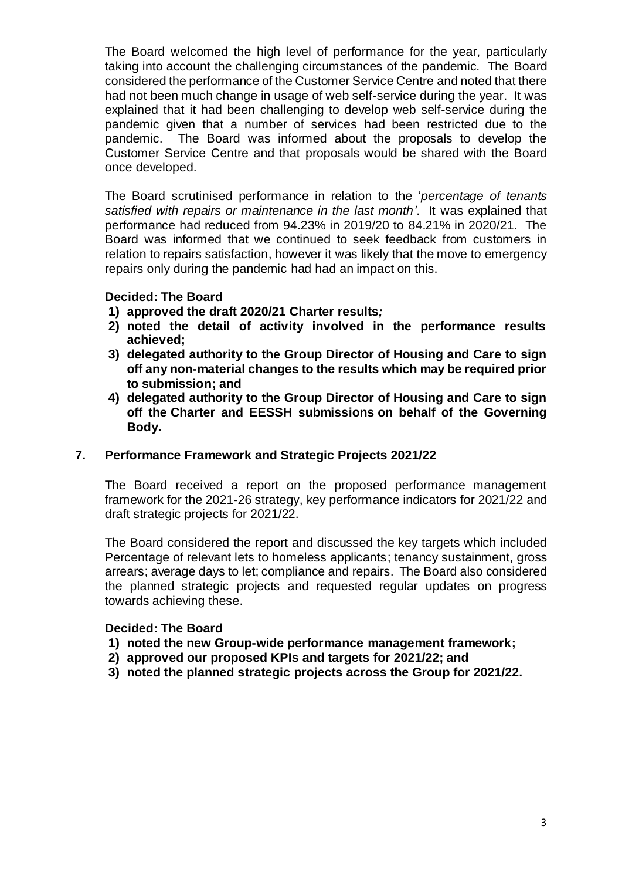The Board welcomed the high level of performance for the year, particularly taking into account the challenging circumstances of the pandemic. The Board considered the performance of the Customer Service Centre and noted that there had not been much change in usage of web self-service during the year. It was explained that it had been challenging to develop web self-service during the pandemic given that a number of services had been restricted due to the pandemic. The Board was informed about the proposals to develop the Customer Service Centre and that proposals would be shared with the Board once developed.

The Board scrutinised performance in relation to the '*percentage of tenants satisfied with repairs or maintenance in the last month'*. It was explained that performance had reduced from 94.23% in 2019/20 to 84.21% in 2020/21. The Board was informed that we continued to seek feedback from customers in relation to repairs satisfaction, however it was likely that the move to emergency repairs only during the pandemic had had an impact on this.

#### **Decided: The Board**

- **1) approved the draft 2020/21 Charter results***;*
- **2) noted the detail of activity involved in the performance results achieved;**
- **3) delegated authority to the Group Director of Housing and Care to sign off any non-material changes to the results which may be required prior to submission; and**
- **4) delegated authority to the Group Director of Housing and Care to sign off the Charter and EESSH submissions on behalf of the Governing Body.**

#### **7. Performance Framework and Strategic Projects 2021/22**

The Board received a report on the proposed performance management framework for the 2021-26 strategy, key performance indicators for 2021/22 and draft strategic projects for 2021/22.

The Board considered the report and discussed the key targets which included Percentage of relevant lets to homeless applicants; tenancy sustainment, gross arrears; average days to let; compliance and repairs. The Board also considered the planned strategic projects and requested regular updates on progress towards achieving these.

#### **Decided: The Board**

- **1) noted the new Group-wide performance management framework;**
- **2) approved our proposed KPIs and targets for 2021/22; and**
- **3) noted the planned strategic projects across the Group for 2021/22.**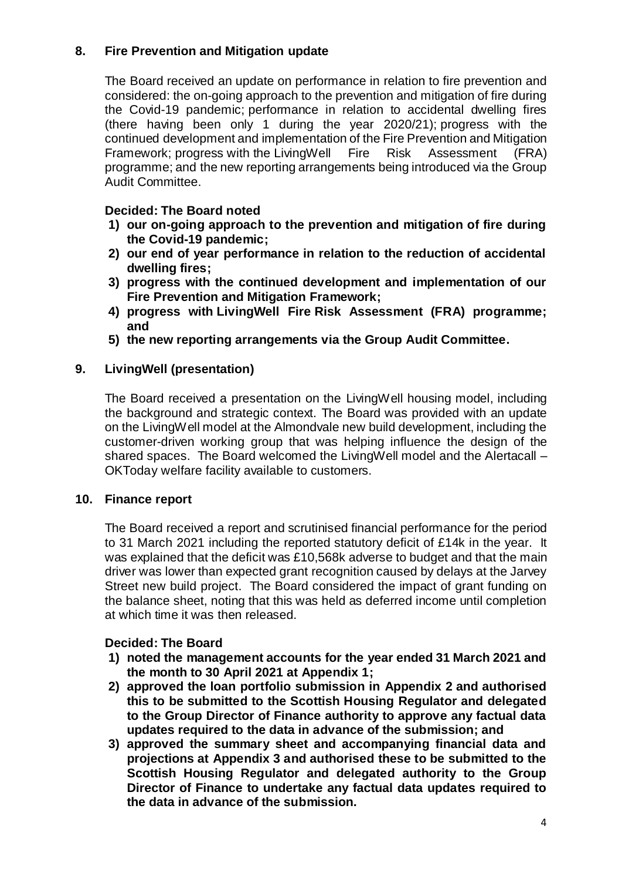# **8. Fire Prevention and Mitigation update**

The Board received an update on performance in relation to fire prevention and considered: the on-going approach to the prevention and mitigation of fire during the Covid-19 pandemic; performance in relation to accidental dwelling fires (there having been only 1 during the year 2020/21); progress with the continued development and implementation of the Fire Prevention and Mitigation Framework; progress with the LivingWell Fire Risk Assessment (FRA) programme; and the new reporting arrangements being introduced via the Group Audit Committee.

#### **Decided: The Board noted**

- **1) our on-going approach to the prevention and mitigation of fire during the Covid-19 pandemic;**
- **2) our end of year performance in relation to the reduction of accidental dwelling fires;**
- **3) progress with the continued development and implementation of our Fire Prevention and Mitigation Framework;**
- **4) progress with LivingWell Fire Risk Assessment (FRA) programme; and**
- **5) the new reporting arrangements via the Group Audit Committee.**

### **9. LivingWell (presentation)**

The Board received a presentation on the LivingWell housing model, including the background and strategic context. The Board was provided with an update on the LivingWell model at the Almondvale new build development, including the customer-driven working group that was helping influence the design of the shared spaces. The Board welcomed the LivingWell model and the Alertacall – OKToday welfare facility available to customers.

#### **10. Finance report**

The Board received a report and scrutinised financial performance for the period to 31 March 2021 including the reported statutory deficit of £14k in the year. It was explained that the deficit was £10,568k adverse to budget and that the main driver was lower than expected grant recognition caused by delays at the Jarvey Street new build project. The Board considered the impact of grant funding on the balance sheet, noting that this was held as deferred income until completion at which time it was then released.

# **Decided: The Board**

- **1) noted the management accounts for the year ended 31 March 2021 and the month to 30 April 2021 at Appendix 1;**
- **2) approved the loan portfolio submission in Appendix 2 and authorised this to be submitted to the Scottish Housing Regulator and delegated to the Group Director of Finance authority to approve any factual data updates required to the data in advance of the submission; and**
- **3) approved the summary sheet and accompanying financial data and projections at Appendix 3 and authorised these to be submitted to the Scottish Housing Regulator and delegated authority to the Group Director of Finance to undertake any factual data updates required to the data in advance of the submission.**